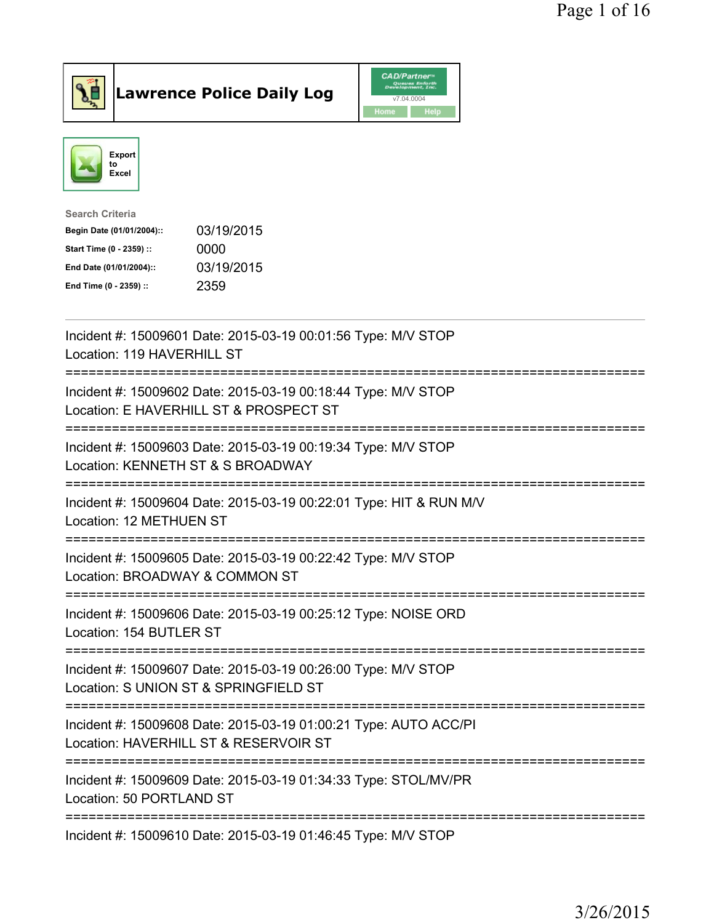

## Lawrence Police Daily Log

|      | <b>CAD/Partner</b> <sup>*</sup><br>Queues Enforth<br>Development, Inc. |
|------|------------------------------------------------------------------------|
|      | v7.04.0004                                                             |
| Home | <b>Help</b>                                                            |



| Search Criteria           |            |
|---------------------------|------------|
| Begin Date (01/01/2004):: | 03/19/2015 |
| Start Time (0 - 2359) ::  | 0000       |
| End Date (01/01/2004)::   | 03/19/2015 |
| End Time (0 - 2359) ::    | 2359       |
|                           |            |

| Incident #: 15009601 Date: 2015-03-19 00:01:56 Type: M/V STOP<br>Location: 119 HAVERHILL ST                                     |
|---------------------------------------------------------------------------------------------------------------------------------|
| Incident #: 15009602 Date: 2015-03-19 00:18:44 Type: M/V STOP<br>Location: E HAVERHILL ST & PROSPECT ST                         |
| Incident #: 15009603 Date: 2015-03-19 00:19:34 Type: M/V STOP<br>Location: KENNETH ST & S BROADWAY                              |
| Incident #: 15009604 Date: 2015-03-19 00:22:01 Type: HIT & RUN M/V<br>Location: 12 METHUEN ST<br>===============                |
| Incident #: 15009605 Date: 2015-03-19 00:22:42 Type: M/V STOP<br>Location: BROADWAY & COMMON ST                                 |
| Incident #: 15009606 Date: 2015-03-19 00:25:12 Type: NOISE ORD<br>Location: 154 BUTLER ST                                       |
| =====================<br>Incident #: 15009607 Date: 2015-03-19 00:26:00 Type: M/V STOP<br>Location: S UNION ST & SPRINGFIELD ST |
| Incident #: 15009608 Date: 2015-03-19 01:00:21 Type: AUTO ACC/PI<br>Location: HAVERHILL ST & RESERVOIR ST                       |
| Incident #: 15009609 Date: 2015-03-19 01:34:33 Type: STOL/MV/PR<br>Location: 50 PORTLAND ST                                     |
| Incident #: 15009610 Date: 2015-03-19 01:46:45 Type: M/V STOP                                                                   |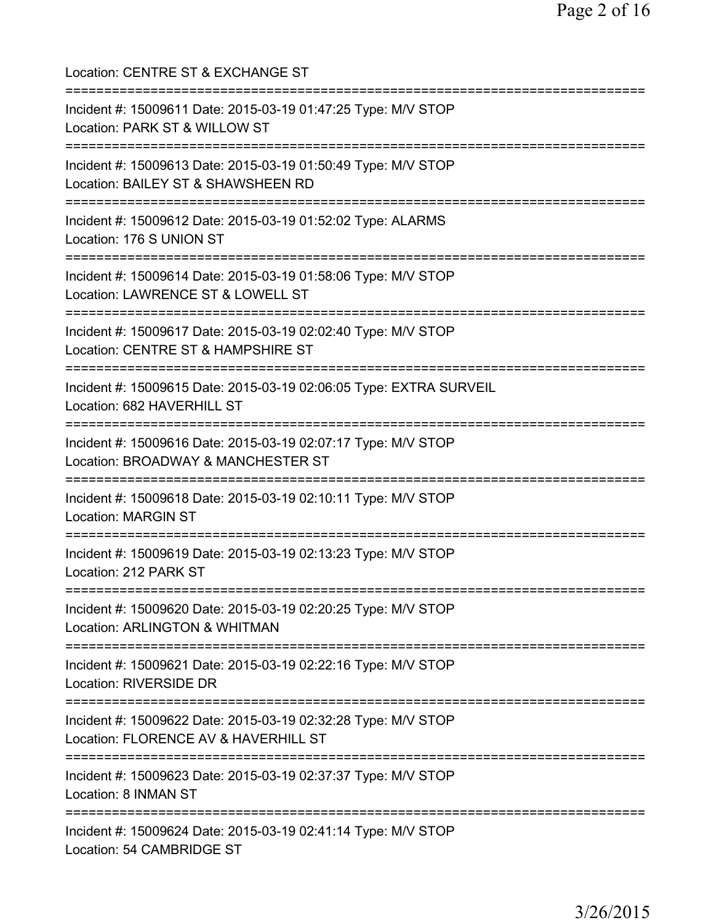| Location: CENTRE ST & EXCHANGE ST                                                                                                            |
|----------------------------------------------------------------------------------------------------------------------------------------------|
| Incident #: 15009611 Date: 2015-03-19 01:47:25 Type: M/V STOP<br>Location: PARK ST & WILLOW ST<br>================================           |
| Incident #: 15009613 Date: 2015-03-19 01:50:49 Type: M/V STOP<br>Location: BAILEY ST & SHAWSHEEN RD<br>===================================== |
| Incident #: 15009612 Date: 2015-03-19 01:52:02 Type: ALARMS<br>Location: 176 S UNION ST                                                      |
| .==============================<br>Incident #: 15009614 Date: 2015-03-19 01:58:06 Type: M/V STOP<br>Location: LAWRENCE ST & LOWELL ST        |
| Incident #: 15009617 Date: 2015-03-19 02:02:40 Type: M/V STOP<br>Location: CENTRE ST & HAMPSHIRE ST                                          |
| Incident #: 15009615 Date: 2015-03-19 02:06:05 Type: EXTRA SURVEIL<br>Location: 682 HAVERHILL ST                                             |
| Incident #: 15009616 Date: 2015-03-19 02:07:17 Type: M/V STOP<br>Location: BROADWAY & MANCHESTER ST<br>=========================             |
| Incident #: 15009618 Date: 2015-03-19 02:10:11 Type: M/V STOP<br><b>Location: MARGIN ST</b>                                                  |
| Incident #: 15009619 Date: 2015-03-19 02:13:23 Type: M/V STOP<br>Location: 212 PARK ST                                                       |
| Incident #: 15009620 Date: 2015-03-19 02:20:25 Type: M/V STOP<br><b>Location: ARLINGTON &amp; WHITMAN</b>                                    |
| Incident #: 15009621 Date: 2015-03-19 02:22:16 Type: M/V STOP<br>Location: RIVERSIDE DR                                                      |
| Incident #: 15009622 Date: 2015-03-19 02:32:28 Type: M/V STOP<br>Location: FLORENCE AV & HAVERHILL ST                                        |
| Incident #: 15009623 Date: 2015-03-19 02:37:37 Type: M/V STOP<br>Location: 8 INMAN ST                                                        |
| Incident #: 15009624 Date: 2015-03-19 02:41:14 Type: M/V STOP<br>Location: 54 CAMBRIDGE ST                                                   |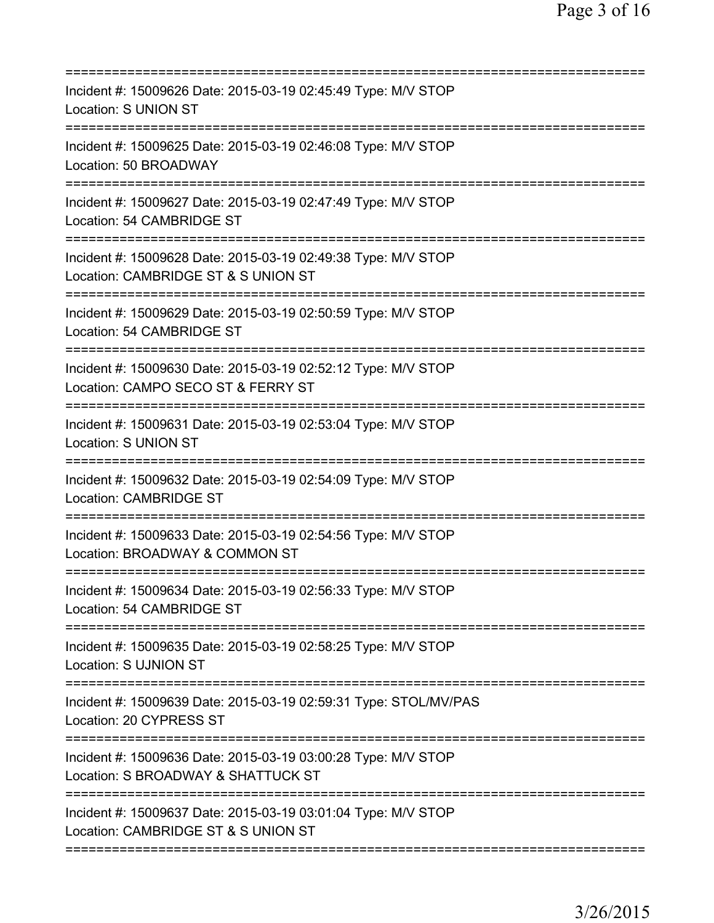| Incident #: 15009626 Date: 2015-03-19 02:45:49 Type: M/V STOP<br>Location: S UNION ST                |
|------------------------------------------------------------------------------------------------------|
| Incident #: 15009625 Date: 2015-03-19 02:46:08 Type: M/V STOP<br>Location: 50 BROADWAY               |
| Incident #: 15009627 Date: 2015-03-19 02:47:49 Type: M/V STOP<br>Location: 54 CAMBRIDGE ST           |
| Incident #: 15009628 Date: 2015-03-19 02:49:38 Type: M/V STOP<br>Location: CAMBRIDGE ST & S UNION ST |
| Incident #: 15009629 Date: 2015-03-19 02:50:59 Type: M/V STOP<br>Location: 54 CAMBRIDGE ST           |
| Incident #: 15009630 Date: 2015-03-19 02:52:12 Type: M/V STOP<br>Location: CAMPO SECO ST & FERRY ST  |
| Incident #: 15009631 Date: 2015-03-19 02:53:04 Type: M/V STOP<br>Location: S UNION ST                |
| Incident #: 15009632 Date: 2015-03-19 02:54:09 Type: M/V STOP<br><b>Location: CAMBRIDGE ST</b>       |
| Incident #: 15009633 Date: 2015-03-19 02:54:56 Type: M/V STOP<br>Location: BROADWAY & COMMON ST      |
| Incident #: 15009634 Date: 2015-03-19 02:56:33 Type: M/V STOP<br>Location: 54 CAMBRIDGE ST           |
| Incident #: 15009635 Date: 2015-03-19 02:58:25 Type: M/V STOP<br><b>Location: S UJNION ST</b>        |
| Incident #: 15009639 Date: 2015-03-19 02:59:31 Type: STOL/MV/PAS<br>Location: 20 CYPRESS ST          |
| Incident #: 15009636 Date: 2015-03-19 03:00:28 Type: M/V STOP<br>Location: S BROADWAY & SHATTUCK ST  |
| Incident #: 15009637 Date: 2015-03-19 03:01:04 Type: M/V STOP<br>Location: CAMBRIDGE ST & S UNION ST |
|                                                                                                      |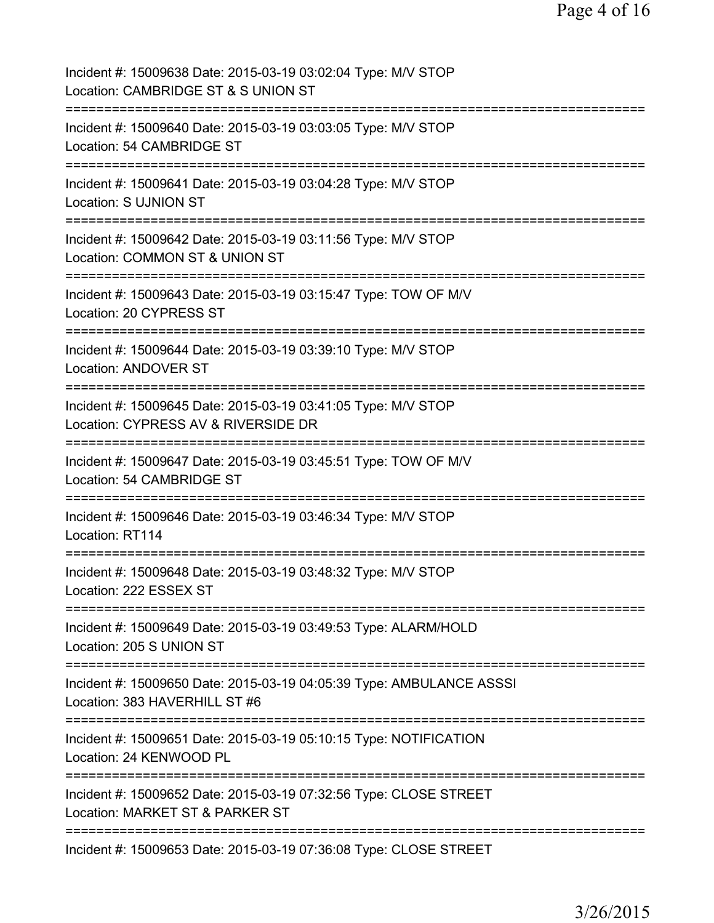| Incident #: 15009638 Date: 2015-03-19 03:02:04 Type: M/V STOP<br>Location: CAMBRIDGE ST & S UNION ST                                                |
|-----------------------------------------------------------------------------------------------------------------------------------------------------|
| Incident #: 15009640 Date: 2015-03-19 03:03:05 Type: M/V STOP<br>Location: 54 CAMBRIDGE ST                                                          |
| Incident #: 15009641 Date: 2015-03-19 03:04:28 Type: M/V STOP<br><b>Location: S UJNION ST</b>                                                       |
| Incident #: 15009642 Date: 2015-03-19 03:11:56 Type: M/V STOP<br>Location: COMMON ST & UNION ST                                                     |
| Incident #: 15009643 Date: 2015-03-19 03:15:47 Type: TOW OF M/V<br>Location: 20 CYPRESS ST                                                          |
| Incident #: 15009644 Date: 2015-03-19 03:39:10 Type: M/V STOP<br><b>Location: ANDOVER ST</b>                                                        |
| Incident #: 15009645 Date: 2015-03-19 03:41:05 Type: M/V STOP<br>Location: CYPRESS AV & RIVERSIDE DR<br>========================<br>=============== |
| Incident #: 15009647 Date: 2015-03-19 03:45:51 Type: TOW OF M/V<br>Location: 54 CAMBRIDGE ST                                                        |
| Incident #: 15009646 Date: 2015-03-19 03:46:34 Type: M/V STOP<br>Location: RT114                                                                    |
| Incident #: 15009648 Date: 2015-03-19 03:48:32 Type: M/V STOP<br>Location: 222 ESSEX ST                                                             |
| Incident #: 15009649 Date: 2015-03-19 03:49:53 Type: ALARM/HOLD<br>Location: 205 S UNION ST                                                         |
| Incident #: 15009650 Date: 2015-03-19 04:05:39 Type: AMBULANCE ASSSI<br>Location: 383 HAVERHILL ST #6                                               |
| Incident #: 15009651 Date: 2015-03-19 05:10:15 Type: NOTIFICATION<br>Location: 24 KENWOOD PL                                                        |
| Incident #: 15009652 Date: 2015-03-19 07:32:56 Type: CLOSE STREET<br>Location: MARKET ST & PARKER ST                                                |
| Incident #: 15009653 Date: 2015-03-19 07:36:08 Type: CLOSE STREET                                                                                   |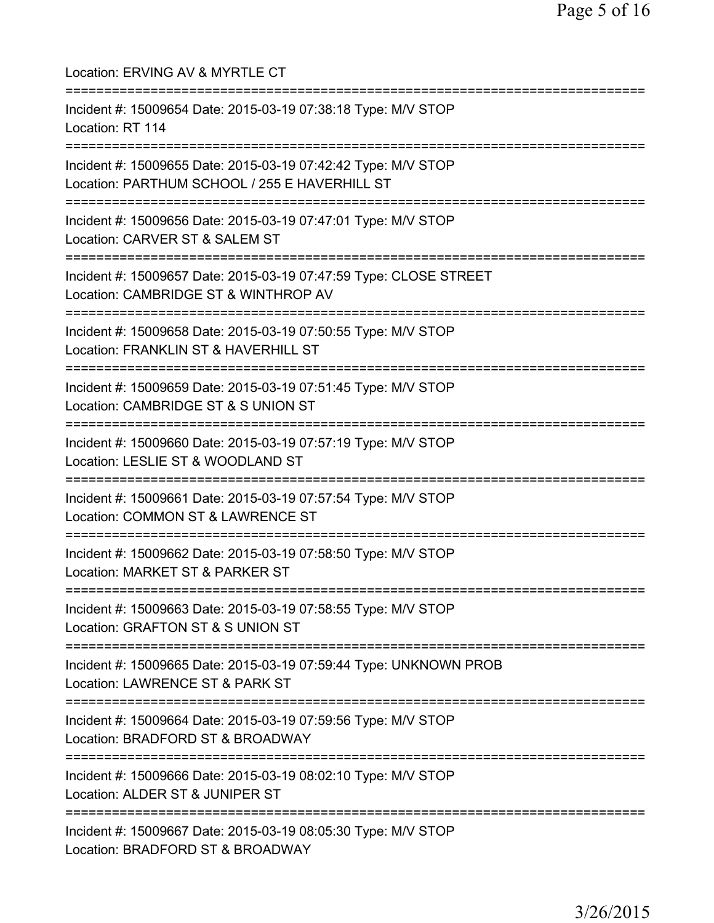| Location: ERVING AV & MYRTLE CT<br>:========================                                                                                        |
|-----------------------------------------------------------------------------------------------------------------------------------------------------|
| Incident #: 15009654 Date: 2015-03-19 07:38:18 Type: M/V STOP<br>Location: RT 114                                                                   |
| Incident #: 15009655 Date: 2015-03-19 07:42:42 Type: M/V STOP<br>Location: PARTHUM SCHOOL / 255 E HAVERHILL ST<br>================================= |
| Incident #: 15009656 Date: 2015-03-19 07:47:01 Type: M/V STOP<br>Location: CARVER ST & SALEM ST                                                     |
| Incident #: 15009657 Date: 2015-03-19 07:47:59 Type: CLOSE STREET<br>Location: CAMBRIDGE ST & WINTHROP AV<br>;================================      |
| Incident #: 15009658 Date: 2015-03-19 07:50:55 Type: M/V STOP<br>Location: FRANKLIN ST & HAVERHILL ST                                               |
| Incident #: 15009659 Date: 2015-03-19 07:51:45 Type: M/V STOP<br>Location: CAMBRIDGE ST & S UNION ST<br>:======================                     |
| Incident #: 15009660 Date: 2015-03-19 07:57:19 Type: M/V STOP<br>Location: LESLIE ST & WOODLAND ST<br>----------------------                        |
| Incident #: 15009661 Date: 2015-03-19 07:57:54 Type: M/V STOP<br>Location: COMMON ST & LAWRENCE ST<br>----------------------                        |
| Incident #: 15009662 Date: 2015-03-19 07:58:50 Type: M/V STOP<br>Location: MARKET ST & PARKER ST                                                    |
| Incident #: 15009663 Date: 2015-03-19 07:58:55 Type: M/V STOP<br>Location: GRAFTON ST & S UNION ST                                                  |
| Incident #: 15009665 Date: 2015-03-19 07:59:44 Type: UNKNOWN PROB<br>Location: LAWRENCE ST & PARK ST                                                |
| Incident #: 15009664 Date: 2015-03-19 07:59:56 Type: M/V STOP<br>Location: BRADFORD ST & BROADWAY                                                   |
| Incident #: 15009666 Date: 2015-03-19 08:02:10 Type: M/V STOP<br>Location: ALDER ST & JUNIPER ST                                                    |
| ==================================<br>Incident #: 15009667 Date: 2015-03-19 08:05:30 Type: M/V STOP<br>Location: BRADFORD ST & BROADWAY             |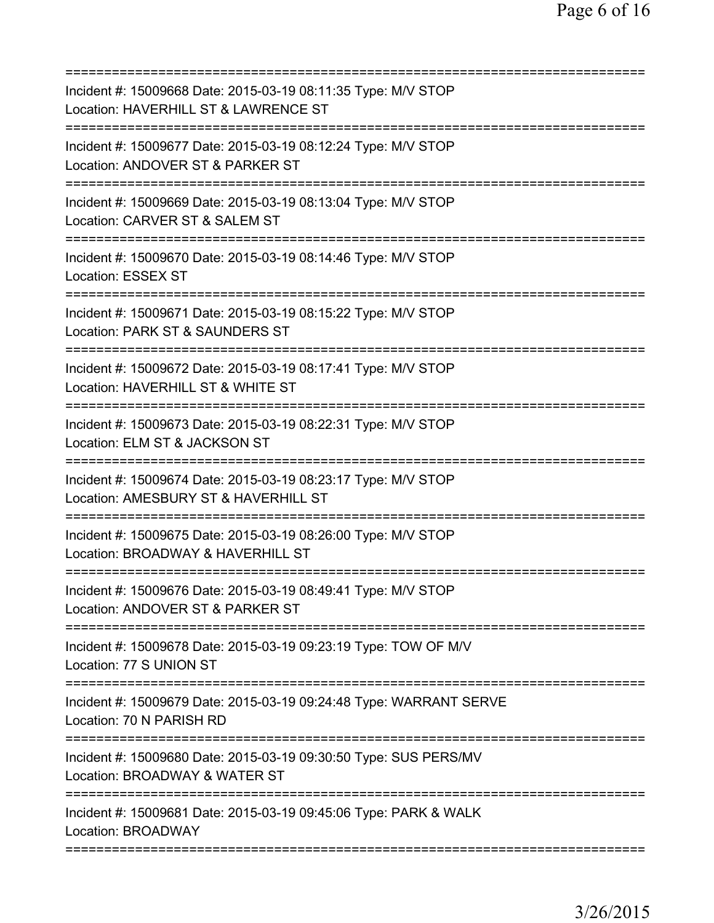| Incident #: 15009668 Date: 2015-03-19 08:11:35 Type: M/V STOP<br>Location: HAVERHILL ST & LAWRENCE ST |
|-------------------------------------------------------------------------------------------------------|
| Incident #: 15009677 Date: 2015-03-19 08:12:24 Type: M/V STOP<br>Location: ANDOVER ST & PARKER ST     |
| Incident #: 15009669 Date: 2015-03-19 08:13:04 Type: M/V STOP<br>Location: CARVER ST & SALEM ST       |
| Incident #: 15009670 Date: 2015-03-19 08:14:46 Type: M/V STOP<br>Location: ESSEX ST                   |
| Incident #: 15009671 Date: 2015-03-19 08:15:22 Type: M/V STOP<br>Location: PARK ST & SAUNDERS ST      |
| Incident #: 15009672 Date: 2015-03-19 08:17:41 Type: M/V STOP<br>Location: HAVERHILL ST & WHITE ST    |
| Incident #: 15009673 Date: 2015-03-19 08:22:31 Type: M/V STOP<br>Location: ELM ST & JACKSON ST        |
| Incident #: 15009674 Date: 2015-03-19 08:23:17 Type: M/V STOP<br>Location: AMESBURY ST & HAVERHILL ST |
| Incident #: 15009675 Date: 2015-03-19 08:26:00 Type: M/V STOP<br>Location: BROADWAY & HAVERHILL ST    |
| Incident #: 15009676 Date: 2015-03-19 08:49:41 Type: M/V STOP<br>Location: ANDOVER ST & PARKER ST     |
| Incident #: 15009678 Date: 2015-03-19 09:23:19 Type: TOW OF M/V<br>Location: 77 S UNION ST            |
| Incident #: 15009679 Date: 2015-03-19 09:24:48 Type: WARRANT SERVE<br>Location: 70 N PARISH RD        |
| Incident #: 15009680 Date: 2015-03-19 09:30:50 Type: SUS PERS/MV<br>Location: BROADWAY & WATER ST     |
| Incident #: 15009681 Date: 2015-03-19 09:45:06 Type: PARK & WALK<br>Location: BROADWAY                |
|                                                                                                       |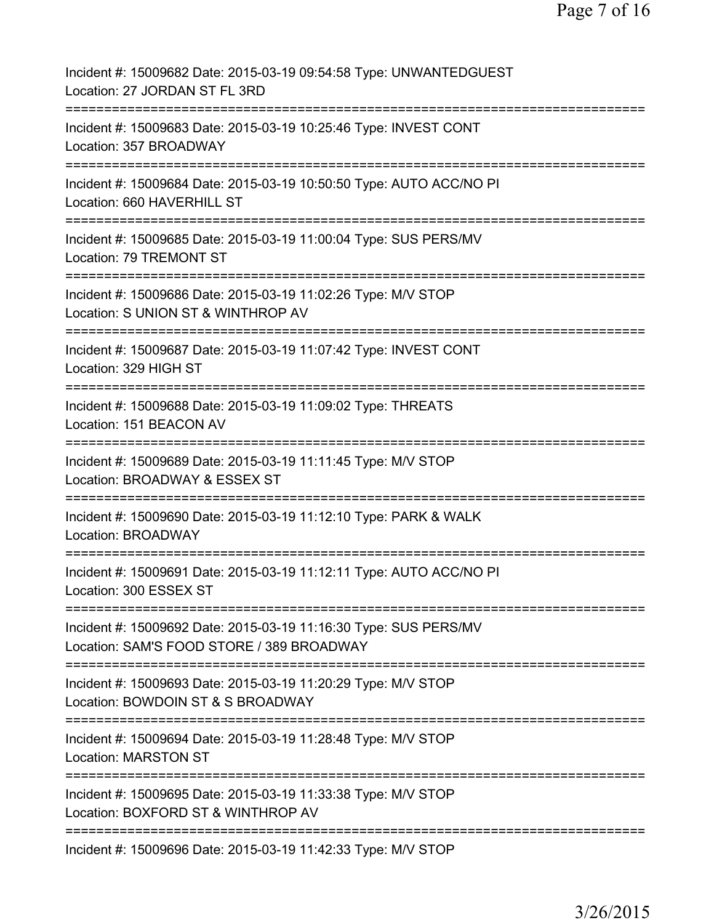| Incident #: 15009682 Date: 2015-03-19 09:54:58 Type: UNWANTEDGUEST<br>Location: 27 JORDAN ST FL 3RD                                                          |
|--------------------------------------------------------------------------------------------------------------------------------------------------------------|
| Incident #: 15009683 Date: 2015-03-19 10:25:46 Type: INVEST CONT<br>Location: 357 BROADWAY                                                                   |
| Incident #: 15009684 Date: 2015-03-19 10:50:50 Type: AUTO ACC/NO PI<br>Location: 660 HAVERHILL ST                                                            |
| Incident #: 15009685 Date: 2015-03-19 11:00:04 Type: SUS PERS/MV<br>Location: 79 TREMONT ST                                                                  |
| Incident #: 15009686 Date: 2015-03-19 11:02:26 Type: M/V STOP<br>Location: S UNION ST & WINTHROP AV                                                          |
| Incident #: 15009687 Date: 2015-03-19 11:07:42 Type: INVEST CONT<br>Location: 329 HIGH ST                                                                    |
| Incident #: 15009688 Date: 2015-03-19 11:09:02 Type: THREATS<br>Location: 151 BEACON AV                                                                      |
| Incident #: 15009689 Date: 2015-03-19 11:11:45 Type: M/V STOP<br>Location: BROADWAY & ESSEX ST<br>===========                                                |
| Incident #: 15009690 Date: 2015-03-19 11:12:10 Type: PARK & WALK<br><b>Location: BROADWAY</b>                                                                |
| Incident #: 15009691 Date: 2015-03-19 11:12:11 Type: AUTO ACC/NO PI<br>Location: 300 ESSEX ST                                                                |
| Incident #: 15009692 Date: 2015-03-19 11:16:30 Type: SUS PERS/MV<br>Location: SAM'S FOOD STORE / 389 BROADWAY                                                |
| Incident #: 15009693 Date: 2015-03-19 11:20:29 Type: M/V STOP<br>Location: BOWDOIN ST & S BROADWAY<br>------------------------<br>========================== |
| Incident #: 15009694 Date: 2015-03-19 11:28:48 Type: M/V STOP<br><b>Location: MARSTON ST</b>                                                                 |
| Incident #: 15009695 Date: 2015-03-19 11:33:38 Type: M/V STOP<br>Location: BOXFORD ST & WINTHROP AV                                                          |
| Incident #: 15009696 Date: 2015-03-19 11:42:33 Type: M/V STOP                                                                                                |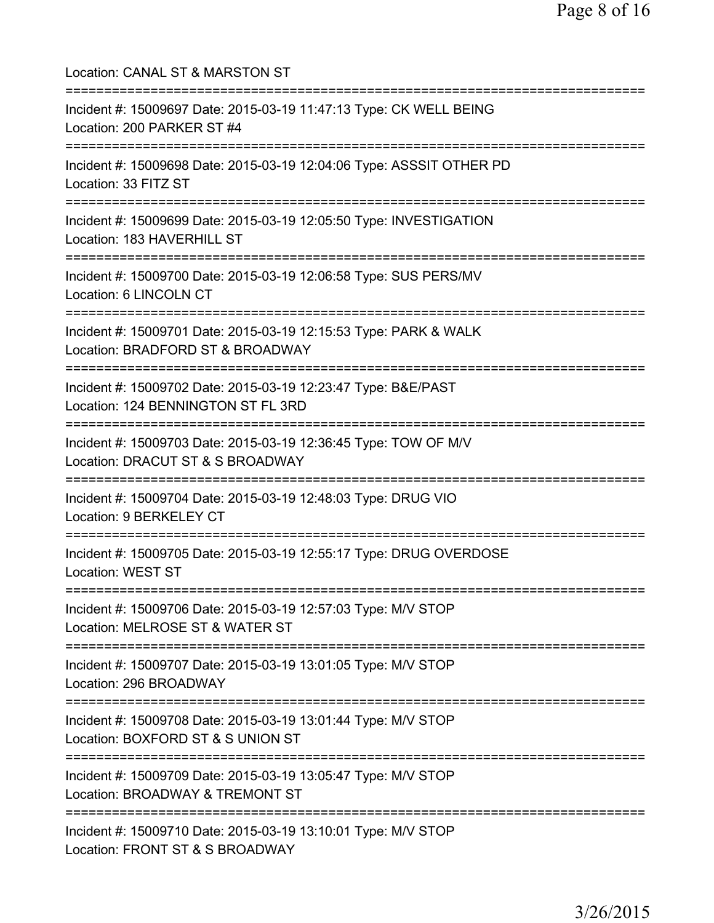Location: CANAL ST & MARSTON ST =========================================================================== Incident #: 15009697 Date: 2015-03-19 11:47:13 Type: CK WELL BEING Location: 200 PARKER ST #4 =========================================================================== Incident #: 15009698 Date: 2015-03-19 12:04:06 Type: ASSSIT OTHER PD Location: 33 FITZ ST =========================================================================== Incident #: 15009699 Date: 2015-03-19 12:05:50 Type: INVESTIGATION Location: 183 HAVERHILL ST =========================================================================== Incident #: 15009700 Date: 2015-03-19 12:06:58 Type: SUS PERS/MV Location: 6 LINCOLN CT =========================================================================== Incident #: 15009701 Date: 2015-03-19 12:15:53 Type: PARK & WALK Location: BRADFORD ST & BROADWAY =========================================================================== Incident #: 15009702 Date: 2015-03-19 12:23:47 Type: B&E/PAST Location: 124 BENNINGTON ST FL 3RD =========================================================================== Incident #: 15009703 Date: 2015-03-19 12:36:45 Type: TOW OF M/V Location: DRACUT ST & S BROADWAY =========================================================================== Incident #: 15009704 Date: 2015-03-19 12:48:03 Type: DRUG VIO Location: 9 BERKELEY CT =========================================================================== Incident #: 15009705 Date: 2015-03-19 12:55:17 Type: DRUG OVERDOSE Location: WEST ST =========================================================================== Incident #: 15009706 Date: 2015-03-19 12:57:03 Type: M/V STOP Location: MELROSE ST & WATER ST =========================================================================== Incident #: 15009707 Date: 2015-03-19 13:01:05 Type: M/V STOP Location: 296 BROADWAY =========================================================================== Incident #: 15009708 Date: 2015-03-19 13:01:44 Type: M/V STOP Location: BOXFORD ST & S UNION ST =========================================================================== Incident #: 15009709 Date: 2015-03-19 13:05:47 Type: M/V STOP Location: BROADWAY & TREMONT ST =========================================================================== Incident #: 15009710 Date: 2015-03-19 13:10:01 Type: M/V STOP Location: FRONT ST & S BROADWAY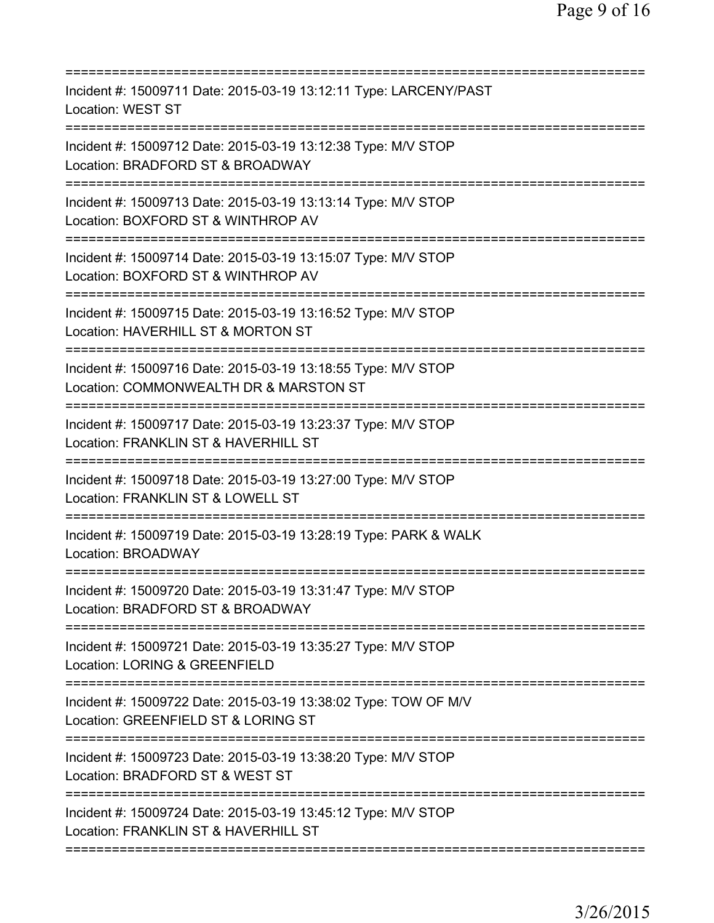| Incident #: 15009711 Date: 2015-03-19 13:12:11 Type: LARCENY/PAST<br>Location: WEST ST                                                         |
|------------------------------------------------------------------------------------------------------------------------------------------------|
| Incident #: 15009712 Date: 2015-03-19 13:12:38 Type: M/V STOP<br>Location: BRADFORD ST & BROADWAY                                              |
| Incident #: 15009713 Date: 2015-03-19 13:13:14 Type: M/V STOP<br>Location: BOXFORD ST & WINTHROP AV                                            |
| Incident #: 15009714 Date: 2015-03-19 13:15:07 Type: M/V STOP<br>Location: BOXFORD ST & WINTHROP AV                                            |
| Incident #: 15009715 Date: 2015-03-19 13:16:52 Type: M/V STOP<br>Location: HAVERHILL ST & MORTON ST                                            |
| Incident #: 15009716 Date: 2015-03-19 13:18:55 Type: M/V STOP<br>Location: COMMONWEALTH DR & MARSTON ST<br>:================================== |
| Incident #: 15009717 Date: 2015-03-19 13:23:37 Type: M/V STOP<br>Location: FRANKLIN ST & HAVERHILL ST<br>======================                |
| Incident #: 15009718 Date: 2015-03-19 13:27:00 Type: M/V STOP<br>Location: FRANKLIN ST & LOWELL ST                                             |
| Incident #: 15009719 Date: 2015-03-19 13:28:19 Type: PARK & WALK<br>Location: BROADWAY                                                         |
| Incident #: 15009720 Date: 2015-03-19 13:31:47 Type: M/V STOP<br>Location: BRADFORD ST & BROADWAY                                              |
| Incident #: 15009721 Date: 2015-03-19 13:35:27 Type: M/V STOP<br>Location: LORING & GREENFIELD                                                 |
| Incident #: 15009722 Date: 2015-03-19 13:38:02 Type: TOW OF M/V<br>Location: GREENFIELD ST & LORING ST<br>===============================      |
| Incident #: 15009723 Date: 2015-03-19 13:38:20 Type: M/V STOP<br>Location: BRADFORD ST & WEST ST                                               |
| Incident #: 15009724 Date: 2015-03-19 13:45:12 Type: M/V STOP<br>Location: FRANKLIN ST & HAVERHILL ST                                          |
|                                                                                                                                                |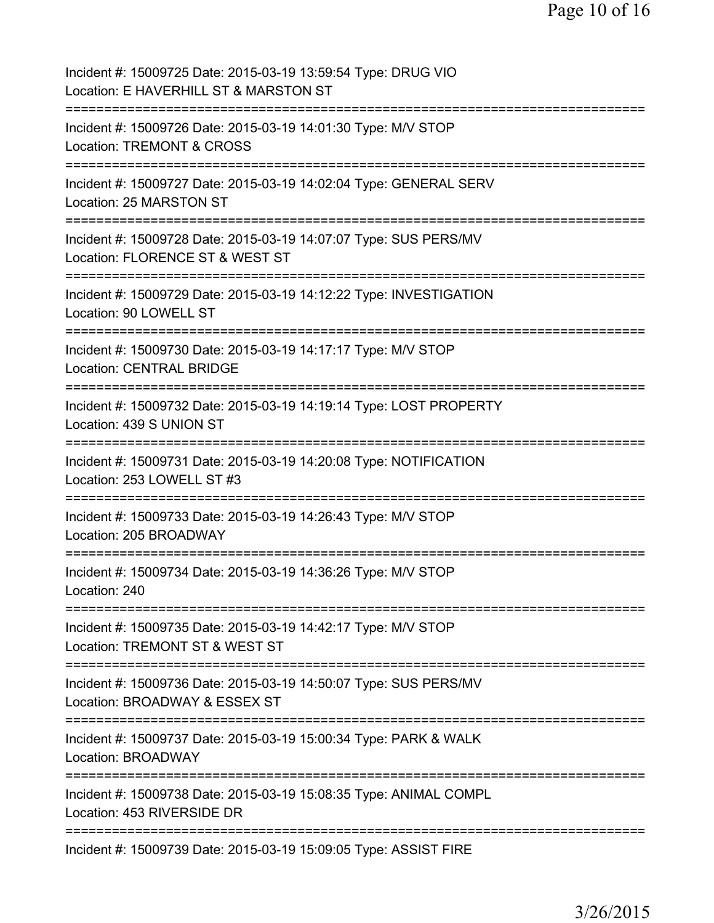Page 10 of 16

Incident #: 15009725 Date: 2015-03-19 13:59:54 Type: DRUG VIO Location: E HAVERHILL ST & MARSTON ST =========================================================================== Incident #: 15009726 Date: 2015-03-19 14:01:30 Type: M/V STOP Location: TREMONT & CROSS =========================================================================== Incident #: 15009727 Date: 2015-03-19 14:02:04 Type: GENERAL SERV Location: 25 MARSTON ST =========================================================================== Incident #: 15009728 Date: 2015-03-19 14:07:07 Type: SUS PERS/MV Location: FLORENCE ST & WEST ST =========================================================================== Incident #: 15009729 Date: 2015-03-19 14:12:22 Type: INVESTIGATION Location: 90 LOWELL ST =========================================================================== Incident #: 15009730 Date: 2015-03-19 14:17:17 Type: M/V STOP Location: CENTRAL BRIDGE =========================================================================== Incident #: 15009732 Date: 2015-03-19 14:19:14 Type: LOST PROPERTY Location: 439 S UNION ST =========================================================================== Incident #: 15009731 Date: 2015-03-19 14:20:08 Type: NOTIFICATION Location: 253 LOWELL ST #3 =========================================================================== Incident #: 15009733 Date: 2015-03-19 14:26:43 Type: M/V STOP Location: 205 BROADWAY =========================================================================== Incident #: 15009734 Date: 2015-03-19 14:36:26 Type: M/V STOP Location: 240 =========================================================================== Incident #: 15009735 Date: 2015-03-19 14:42:17 Type: M/V STOP Location: TREMONT ST & WEST ST =========================================================================== Incident #: 15009736 Date: 2015-03-19 14:50:07 Type: SUS PERS/MV Location: BROADWAY & ESSEX ST =========================================================================== Incident #: 15009737 Date: 2015-03-19 15:00:34 Type: PARK & WALK Location: BROADWAY =========================================================================== Incident #: 15009738 Date: 2015-03-19 15:08:35 Type: ANIMAL COMPL Location: 453 RIVERSIDE DR =========================================================================== Incident #: 15009739 Date: 2015-03-19 15:09:05 Type: ASSIST FIRE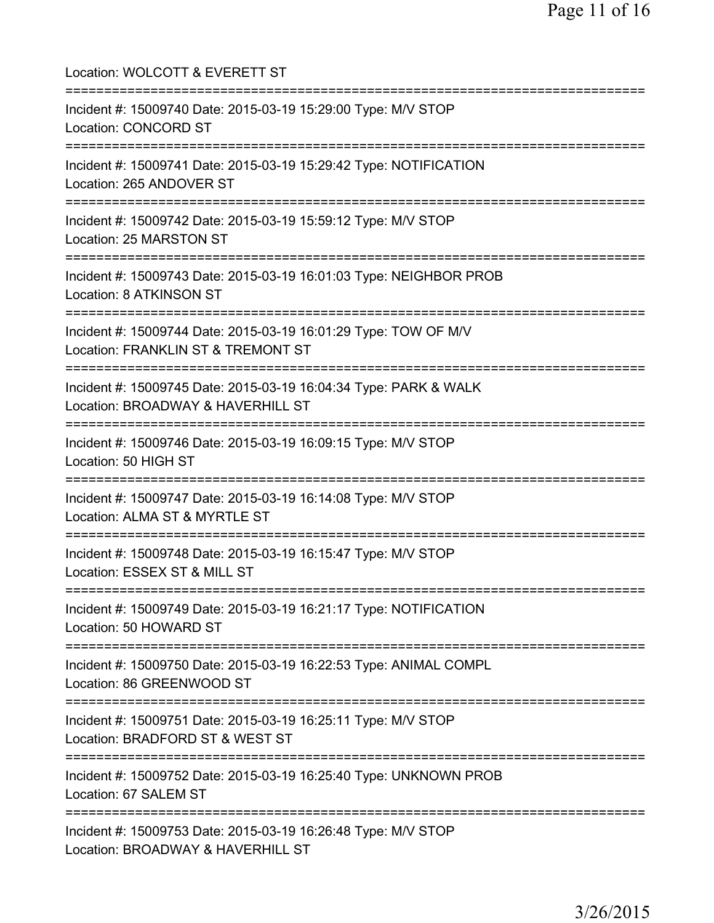| Location: WOLCOTT & EVERETT ST                                                                                                           |
|------------------------------------------------------------------------------------------------------------------------------------------|
| Incident #: 15009740 Date: 2015-03-19 15:29:00 Type: M/V STOP<br>Location: CONCORD ST                                                    |
| Incident #: 15009741 Date: 2015-03-19 15:29:42 Type: NOTIFICATION<br>Location: 265 ANDOVER ST                                            |
| Incident #: 15009742 Date: 2015-03-19 15:59:12 Type: M/V STOP<br>Location: 25 MARSTON ST                                                 |
| Incident #: 15009743 Date: 2015-03-19 16:01:03 Type: NEIGHBOR PROB<br>Location: 8 ATKINSON ST                                            |
| ===============================<br>Incident #: 15009744 Date: 2015-03-19 16:01:29 Type: TOW OF M/V<br>Location: FRANKLIN ST & TREMONT ST |
| ==============================<br>Incident #: 15009745 Date: 2015-03-19 16:04:34 Type: PARK & WALK<br>Location: BROADWAY & HAVERHILL ST  |
| :=======================<br>Incident #: 15009746 Date: 2015-03-19 16:09:15 Type: M/V STOP<br>Location: 50 HIGH ST                        |
| Incident #: 15009747 Date: 2015-03-19 16:14:08 Type: M/V STOP<br>Location: ALMA ST & MYRTLE ST                                           |
| Incident #: 15009748 Date: 2015-03-19 16:15:47 Type: M/V STOP<br>Location: ESSEX ST & MILL ST                                            |
| Incident #: 15009749 Date: 2015-03-19 16:21:17 Type: NOTIFICATION<br>Location: 50 HOWARD ST                                              |
| Incident #: 15009750 Date: 2015-03-19 16:22:53 Type: ANIMAL COMPL<br>Location: 86 GREENWOOD ST                                           |
| Incident #: 15009751 Date: 2015-03-19 16:25:11 Type: M/V STOP<br>Location: BRADFORD ST & WEST ST                                         |
| Incident #: 15009752 Date: 2015-03-19 16:25:40 Type: UNKNOWN PROB<br>Location: 67 SALEM ST                                               |
| Incident #: 15009753 Date: 2015-03-19 16:26:48 Type: M/V STOP<br>Location: BROADWAY & HAVERHILL ST                                       |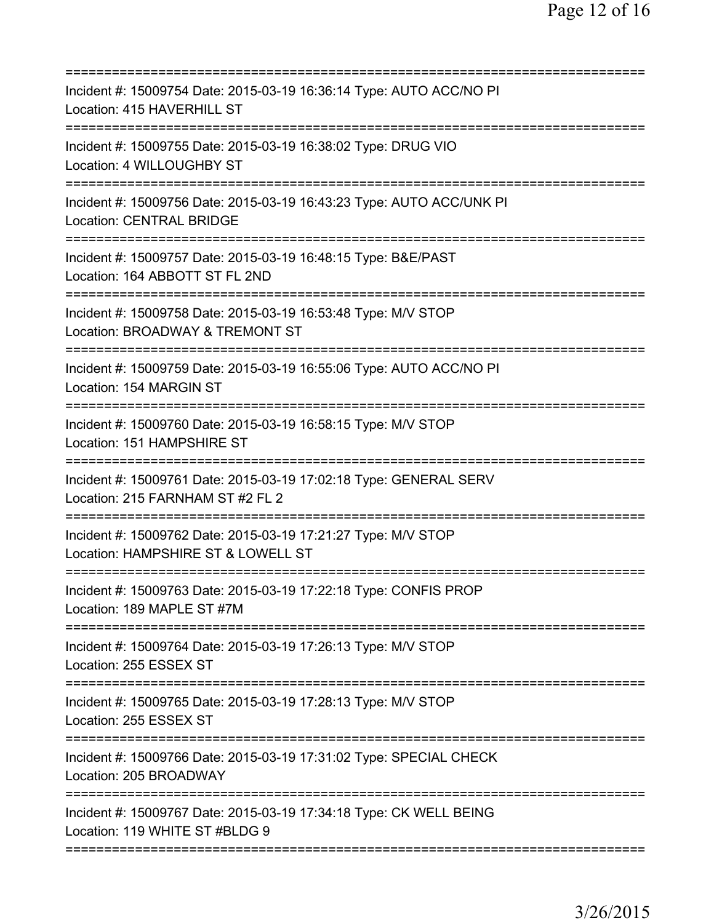| Incident #: 15009754 Date: 2015-03-19 16:36:14 Type: AUTO ACC/NO PI<br>Location: 415 HAVERHILL ST                                  |
|------------------------------------------------------------------------------------------------------------------------------------|
| Incident #: 15009755 Date: 2015-03-19 16:38:02 Type: DRUG VIO<br>Location: 4 WILLOUGHBY ST                                         |
| Incident #: 15009756 Date: 2015-03-19 16:43:23 Type: AUTO ACC/UNK PI<br><b>Location: CENTRAL BRIDGE</b>                            |
| Incident #: 15009757 Date: 2015-03-19 16:48:15 Type: B&E/PAST<br>Location: 164 ABBOTT ST FL 2ND                                    |
| Incident #: 15009758 Date: 2015-03-19 16:53:48 Type: M/V STOP<br>Location: BROADWAY & TREMONT ST                                   |
| Incident #: 15009759 Date: 2015-03-19 16:55:06 Type: AUTO ACC/NO PI<br>Location: 154 MARGIN ST                                     |
| Incident #: 15009760 Date: 2015-03-19 16:58:15 Type: M/V STOP<br>Location: 151 HAMPSHIRE ST<br>=================================== |
| Incident #: 15009761 Date: 2015-03-19 17:02:18 Type: GENERAL SERV<br>Location: 215 FARNHAM ST #2 FL 2                              |
| Incident #: 15009762 Date: 2015-03-19 17:21:27 Type: M/V STOP<br>Location: HAMPSHIRE ST & LOWELL ST                                |
| Incident #: 15009763 Date: 2015-03-19 17:22:18 Type: CONFIS PROP<br>Location: 189 MAPLE ST #7M                                     |
| Incident #: 15009764 Date: 2015-03-19 17:26:13 Type: M/V STOP<br>Location: 255 ESSEX ST                                            |
| Incident #: 15009765 Date: 2015-03-19 17:28:13 Type: M/V STOP<br>Location: 255 ESSEX ST                                            |
| Incident #: 15009766 Date: 2015-03-19 17:31:02 Type: SPECIAL CHECK<br>Location: 205 BROADWAY                                       |
| Incident #: 15009767 Date: 2015-03-19 17:34:18 Type: CK WELL BEING<br>Location: 119 WHITE ST #BLDG 9                               |
|                                                                                                                                    |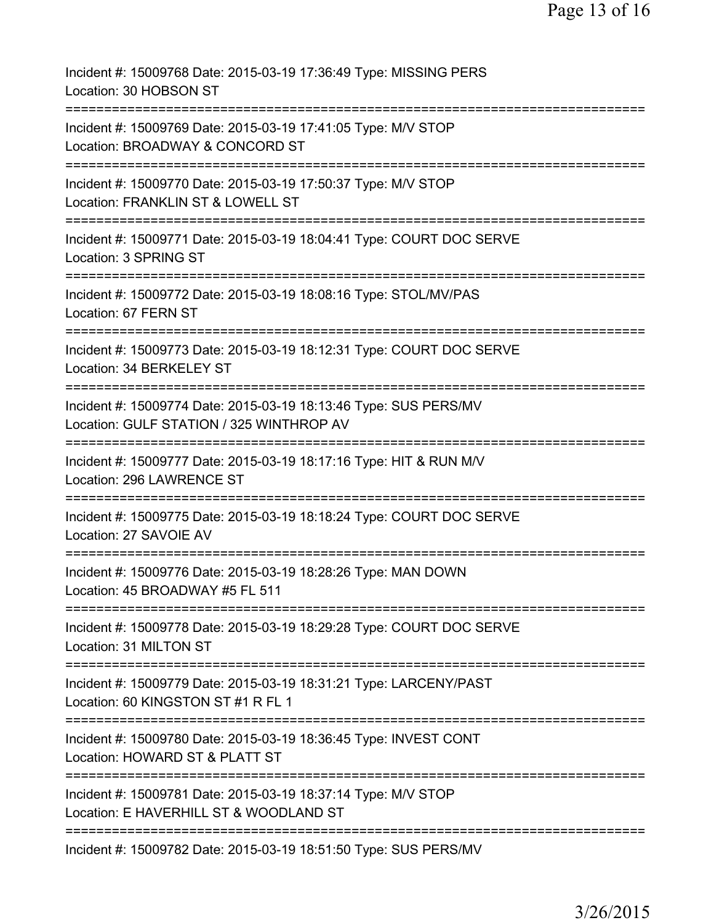Incident #: 15009768 Date: 2015-03-19 17:36:49 Type: MISSING PERS Location: 30 HOBSON ST =========================================================================== Incident #: 15009769 Date: 2015-03-19 17:41:05 Type: M/V STOP Location: BROADWAY & CONCORD ST =========================================================================== Incident #: 15009770 Date: 2015-03-19 17:50:37 Type: M/V STOP Location: FRANKLIN ST & LOWELL ST =========================================================================== Incident #: 15009771 Date: 2015-03-19 18:04:41 Type: COURT DOC SERVE Location: 3 SPRING ST =========================================================================== Incident #: 15009772 Date: 2015-03-19 18:08:16 Type: STOL/MV/PAS Location: 67 FERN ST =========================================================================== Incident #: 15009773 Date: 2015-03-19 18:12:31 Type: COURT DOC SERVE Location: 34 BERKELEY ST =========================================================================== Incident #: 15009774 Date: 2015-03-19 18:13:46 Type: SUS PERS/MV Location: GULF STATION / 325 WINTHROP AV =========================================================================== Incident #: 15009777 Date: 2015-03-19 18:17:16 Type: HIT & RUN M/V Location: 296 LAWRENCE ST =========================================================================== Incident #: 15009775 Date: 2015-03-19 18:18:24 Type: COURT DOC SERVE Location: 27 SAVOIE AV =========================================================================== Incident #: 15009776 Date: 2015-03-19 18:28:26 Type: MAN DOWN Location: 45 BROADWAY #5 FL 511 =========================================================================== Incident #: 15009778 Date: 2015-03-19 18:29:28 Type: COURT DOC SERVE Location: 31 MILTON ST =========================================================================== Incident #: 15009779 Date: 2015-03-19 18:31:21 Type: LARCENY/PAST Location: 60 KINGSTON ST #1 R FL 1 =========================================================================== Incident #: 15009780 Date: 2015-03-19 18:36:45 Type: INVEST CONT Location: HOWARD ST & PLATT ST =========================================================================== Incident #: 15009781 Date: 2015-03-19 18:37:14 Type: M/V STOP Location: E HAVERHILL ST & WOODLAND ST =========================================================================== Incident #: 15009782 Date: 2015-03-19 18:51:50 Type: SUS PERS/MV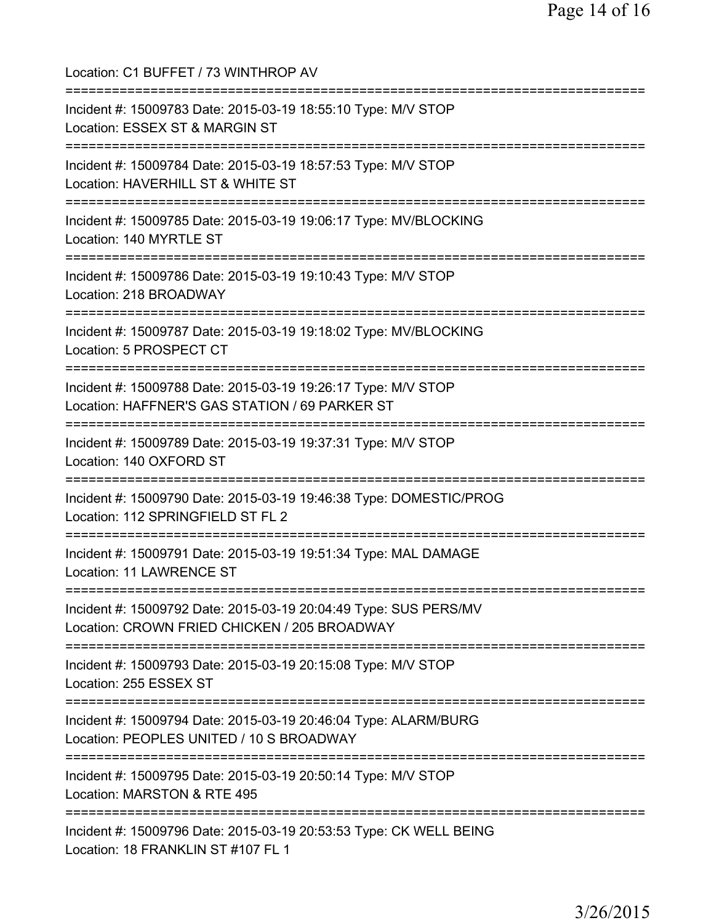| Location: C1 BUFFET / 73 WINTHROP AV                                                                                            |
|---------------------------------------------------------------------------------------------------------------------------------|
| Incident #: 15009783 Date: 2015-03-19 18:55:10 Type: M/V STOP<br>Location: ESSEX ST & MARGIN ST                                 |
| Incident #: 15009784 Date: 2015-03-19 18:57:53 Type: M/V STOP<br>Location: HAVERHILL ST & WHITE ST                              |
| Incident #: 15009785 Date: 2015-03-19 19:06:17 Type: MV/BLOCKING<br>Location: 140 MYRTLE ST<br>-------------------------------  |
| Incident #: 15009786 Date: 2015-03-19 19:10:43 Type: M/V STOP<br>Location: 218 BROADWAY                                         |
| --------------------------------<br>Incident #: 15009787 Date: 2015-03-19 19:18:02 Type: MV/BLOCKING<br>Location: 5 PROSPECT CT |
| Incident #: 15009788 Date: 2015-03-19 19:26:17 Type: M/V STOP<br>Location: HAFFNER'S GAS STATION / 69 PARKER ST                 |
| Incident #: 15009789 Date: 2015-03-19 19:37:31 Type: M/V STOP<br>Location: 140 OXFORD ST                                        |
| Incident #: 15009790 Date: 2015-03-19 19:46:38 Type: DOMESTIC/PROG<br>Location: 112 SPRINGFIELD ST FL 2                         |
| Incident #: 15009791 Date: 2015-03-19 19:51:34 Type: MAL DAMAGE<br><b>Location: 11 LAWRENCE ST</b>                              |
| Incident #: 15009792 Date: 2015-03-19 20:04:49 Type: SUS PERS/MV<br>Location: CROWN FRIED CHICKEN / 205 BROADWAY                |
| Incident #: 15009793 Date: 2015-03-19 20:15:08 Type: M/V STOP<br>Location: 255 ESSEX ST                                         |
| Incident #: 15009794 Date: 2015-03-19 20:46:04 Type: ALARM/BURG<br>Location: PEOPLES UNITED / 10 S BROADWAY                     |
| Incident #: 15009795 Date: 2015-03-19 20:50:14 Type: M/V STOP<br>Location: MARSTON & RTE 495                                    |
| Incident #: 15009796 Date: 2015-03-19 20:53:53 Type: CK WELL BEING<br>Location: 18 FRANKLIN ST #107 FL 1                        |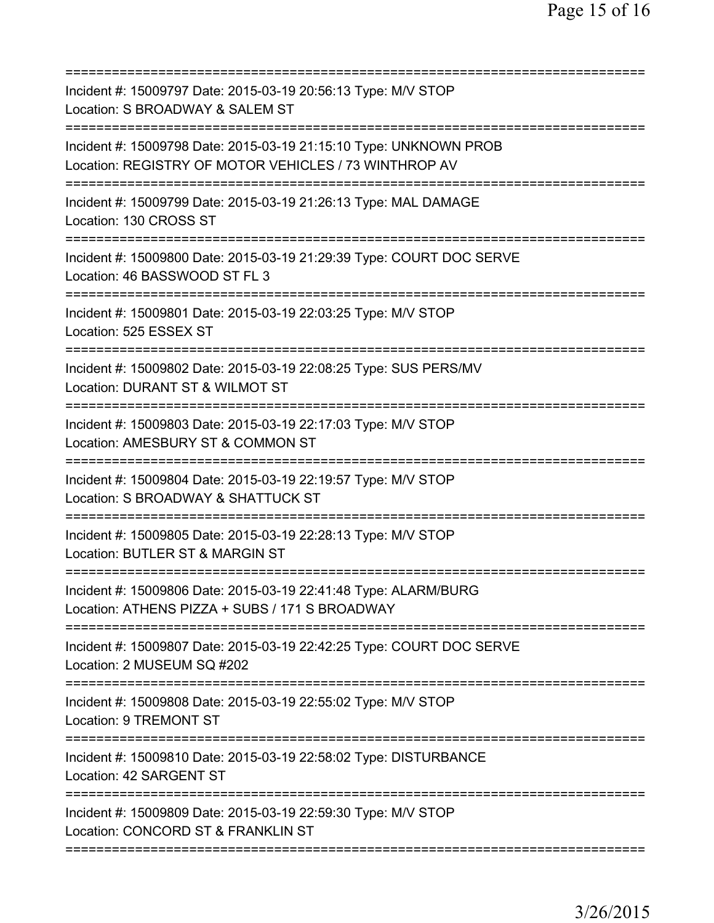| Incident #: 15009797 Date: 2015-03-19 20:56:13 Type: M/V STOP<br>Location: S BROADWAY & SALEM ST<br>=====================            |
|--------------------------------------------------------------------------------------------------------------------------------------|
| Incident #: 15009798 Date: 2015-03-19 21:15:10 Type: UNKNOWN PROB<br>Location: REGISTRY OF MOTOR VEHICLES / 73 WINTHROP AV           |
| Incident #: 15009799 Date: 2015-03-19 21:26:13 Type: MAL DAMAGE<br>Location: 130 CROSS ST                                            |
| Incident #: 15009800 Date: 2015-03-19 21:29:39 Type: COURT DOC SERVE<br>Location: 46 BASSWOOD ST FL 3                                |
| Incident #: 15009801 Date: 2015-03-19 22:03:25 Type: M/V STOP<br>Location: 525 ESSEX ST                                              |
| Incident #: 15009802 Date: 2015-03-19 22:08:25 Type: SUS PERS/MV<br>Location: DURANT ST & WILMOT ST                                  |
| Incident #: 15009803 Date: 2015-03-19 22:17:03 Type: M/V STOP<br>Location: AMESBURY ST & COMMON ST<br>============================== |
| Incident #: 15009804 Date: 2015-03-19 22:19:57 Type: M/V STOP<br>Location: S BROADWAY & SHATTUCK ST<br>=========================     |
| Incident #: 15009805 Date: 2015-03-19 22:28:13 Type: M/V STOP<br>Location: BUTLER ST & MARGIN ST                                     |
| Incident #: 15009806 Date: 2015-03-19 22:41:48 Type: ALARM/BURG<br>Location: ATHENS PIZZA + SUBS / 171 S BROADWAY                    |
| Incident #: 15009807 Date: 2015-03-19 22:42:25 Type: COURT DOC SERVE<br>Location: 2 MUSEUM SQ #202                                   |
| Incident #: 15009808 Date: 2015-03-19 22:55:02 Type: M/V STOP<br>Location: 9 TREMONT ST                                              |
| Incident #: 15009810 Date: 2015-03-19 22:58:02 Type: DISTURBANCE<br>Location: 42 SARGENT ST                                          |
| Incident #: 15009809 Date: 2015-03-19 22:59:30 Type: M/V STOP<br>Location: CONCORD ST & FRANKLIN ST                                  |
|                                                                                                                                      |